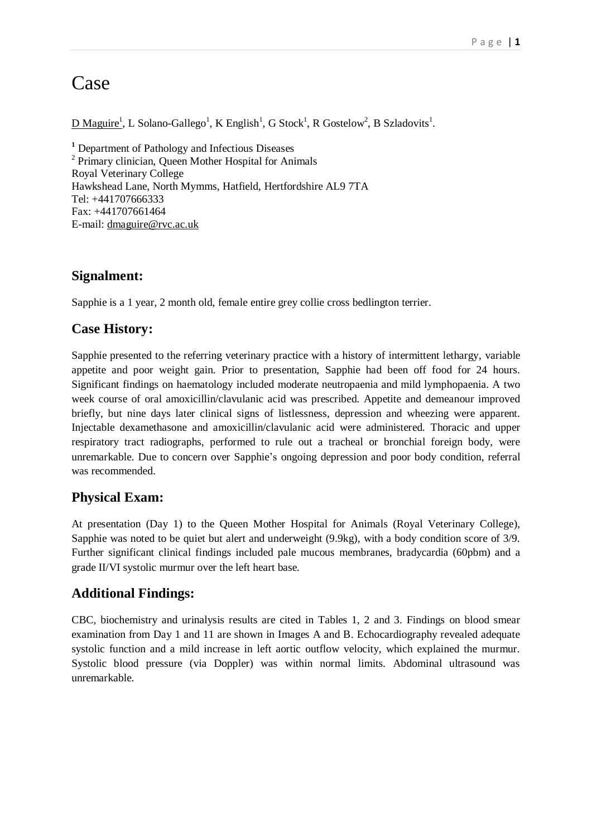# Case

 $\underline{D\ Maguire}^1$ , L Solano-Gallego<sup>1</sup>, K English<sup>1</sup>, G Stock<sup>1</sup>, R Gostelow<sup>2</sup>, B Szladovits<sup>1</sup>.

**<sup>1</sup>** Department of Pathology and Infectious Diseases <sup>2</sup> Primary clinician, Queen Mother Hospital for Animals Royal Veterinary College Hawkshead Lane, North Mymms, Hatfield, Hertfordshire AL9 7TA Tel: +441707666333 Fax: +441707661464 E-mail: dmaguire@rvc.ac.uk

## **Signalment:**

Sapphie is a 1 year, 2 month old, female entire grey collie cross bedlington terrier.

#### **Case History:**

Sapphie presented to the referring veterinary practice with a history of intermittent lethargy, variable appetite and poor weight gain. Prior to presentation, Sapphie had been off food for 24 hours. Significant findings on haematology included moderate neutropaenia and mild lymphopaenia. A two week course of oral amoxicillin/clavulanic acid was prescribed. Appetite and demeanour improved briefly, but nine days later clinical signs of listlessness, depression and wheezing were apparent. Injectable dexamethasone and amoxicillin/clavulanic acid were administered. Thoracic and upper respiratory tract radiographs, performed to rule out a tracheal or bronchial foreign body, were unremarkable. Due to concern over Sapphie's ongoing depression and poor body condition, referral was recommended.

#### **Physical Exam:**

At presentation (Day 1) to the Queen Mother Hospital for Animals (Royal Veterinary College), Sapphie was noted to be quiet but alert and underweight (9.9kg), with a body condition score of 3/9. Further significant clinical findings included pale mucous membranes, bradycardia (60pbm) and a grade II/VI systolic murmur over the left heart base.

## **Additional Findings:**

CBC, biochemistry and urinalysis results are cited in Tables 1, 2 and 3. Findings on blood smear examination from Day 1 and 11 are shown in Images A and B. Echocardiography revealed adequate systolic function and a mild increase in left aortic outflow velocity, which explained the murmur. Systolic blood pressure (via Doppler) was within normal limits. Abdominal ultrasound was unremarkable.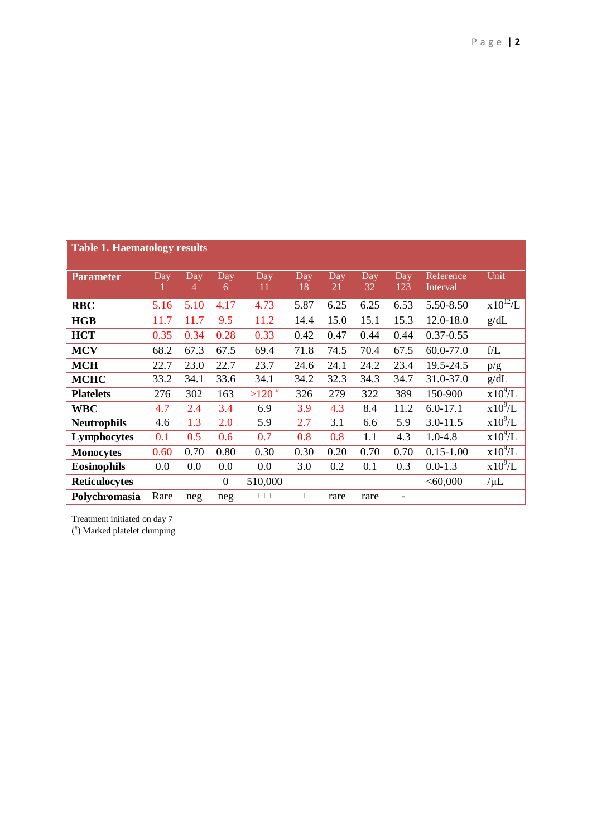| <b>Table 1. Haematology results</b> |      |          |                  |                     |           |                        |                  |                   |                       |                     |
|-------------------------------------|------|----------|------------------|---------------------|-----------|------------------------|------------------|-------------------|-----------------------|---------------------|
| <b>Parameter</b>                    | Day  | Day<br>4 | Day<br>6         | Day<br>11           | Day<br>18 | $\overline{Day}$<br>21 | <b>Day</b><br>32 | <b>Day</b><br>123 | Reference<br>Interval | Unit                |
| <b>RBC</b>                          | 5.16 | 5.10     | 4.17             | 4.73                | 5.87      | 6.25                   | 6.25             | 6.53              | 5.50-8.50             | $x\sqrt{10^{12}/L}$ |
| HGB                                 | 11.7 | 11.7     | 9.5              | 11.2                | 14.4      | 15.0                   | 15.1             | 15.3              | 12.0-18.0             | g/dL                |
| <b>HCT</b>                          | 0.35 | 0.34     | 0.28             | 0.33                | 0.42      | 0.47                   | 0.44             | 0.44              | $0.37 - 0.55$         |                     |
| <b>MCV</b>                          | 68.2 | 67.3     | 67.5             | 69.4                | 71.8      | 74.5                   | 70.4             | 67.5              | 60.0-77.0             | f/L                 |
| <b>MCH</b>                          | 22.7 | 23.0     | 22.7             | 23.7                | 24.6      | 24.1                   | 24.2             | 23.4              | 19.5-24.5             | p/g                 |
| <b>MCHC</b>                         | 33.2 | 34.1     | 33.6             | 34.1                | 34.2      | 32.3                   | 34.3             | 34.7              | 31.0-37.0             | g/dL                |
| <b>Platelets</b>                    | 276  | 302      | 163              | $>120$ <sup>#</sup> | 326       | 279                    | 322              | 389               | 150-900               | $x10^9/L$           |
| <b>WBC</b>                          | 4.7  | 2.4      | 3.4              | 6.9                 | 3.9       | 4.3                    | 8.4              | 11.2              | $6.0 - 17.1$          | $x10^9/L$           |
| <b>Neutrophils</b>                  | 4.6  | 1.3      | 2.0              | 5.9                 | 2.7       | 3.1                    | 6.6              | 5.9               | $3.0 - 11.5$          | $x10^9/L$           |
| Lymphocytes                         | 0.1  | 0.5      | 0.6              | 0.7                 | 0.8       | 0.8                    | 1.1              | 4.3               | $1.0 - 4.8$           | $x10^9/L$           |
| <b>Monocytes</b>                    | 0.60 | 0.70     | 0.80             | 0.30                | 0.30      | 0.20                   | 0.70             | 0.70              | $0.15 - 1.00$         | $x10^9/L$           |
| <b>Eosinophils</b>                  | 0.0  | 0.0      | 0.0              | 0.0                 | 3.0       | 0.2                    | 0.1              | 0.3               | $0.0 - 1.3$           | $x10^9/L$           |
| <b>Reticulocytes</b>                |      |          | $\boldsymbol{0}$ | 510,000             |           |                        |                  |                   | < 60,000              | $/\mu L$            |
| Polychromasia                       | Rare | neg      | neg              | $+++$               | $+$       | rare                   | rare             |                   |                       |                     |

Treatment initiated on day 7

( # ) Marked platelet clumping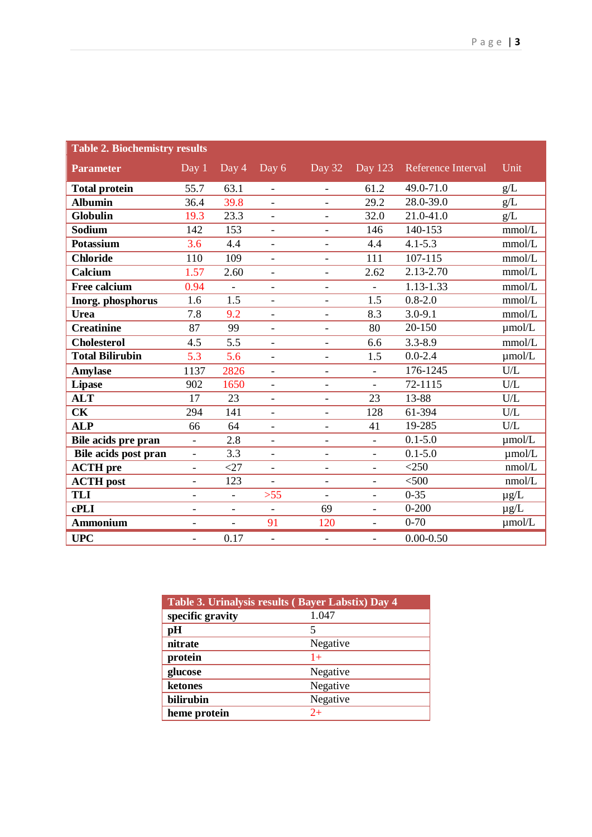| <b>Table 2. Biochemistry results</b> |                          |                          |                          |                              |                          |                    |             |
|--------------------------------------|--------------------------|--------------------------|--------------------------|------------------------------|--------------------------|--------------------|-------------|
| <b>Parameter</b>                     | Day 1                    | Day 4                    | Day 6                    | Day 32                       | Day 123                  | Reference Interval | Unit        |
| <b>Total protein</b>                 | 55.7                     | 63.1                     | $\overline{a}$           | $\blacksquare$               | 61.2                     | 49.0-71.0          | g/L         |
| <b>Albumin</b>                       | 36.4                     | 39.8                     | $\overline{\phantom{0}}$ | $\overline{\phantom{a}}$     | 29.2                     | 28.0-39.0          | $g/L$       |
| Globulin                             | 19.3                     | 23.3                     | $\overline{\phantom{0}}$ |                              | 32.0                     | 21.0-41.0          | g/L         |
| Sodium                               | 142                      | 153                      | $\overline{\phantom{a}}$ | $\overline{\phantom{a}}$     | 146                      | 140-153            | mmol/L      |
| <b>Potassium</b>                     | 3.6                      | 4.4                      | $\overline{\phantom{0}}$ | $\overline{\phantom{a}}$     | 4.4                      | $4.1 - 5.3$        | mmol/L      |
| <b>Chloride</b>                      | 110                      | 109                      | $\blacksquare$           | $\blacksquare$               | 111                      | 107-115            | mmol/L      |
| Calcium                              | 1.57                     | 2.60                     | $\overline{\phantom{a}}$ | $\overline{\phantom{a}}$     | 2.62                     | 2.13-2.70          | mmol/L      |
| <b>Free calcium</b>                  | 0.94                     | $\frac{1}{2}$            | $\overline{\phantom{0}}$ | $\qquad \qquad -$            | $\overline{\phantom{0}}$ | $1.13 - 1.33$      | mmol/L      |
| Inorg. phosphorus                    | 1.6                      | 1.5                      | $\frac{1}{2}$            | $\overline{\phantom{0}}$     | 1.5                      | $0.8 - 2.0$        | mmol/L      |
| Urea                                 | 7.8                      | 9.2                      | $\overline{\phantom{0}}$ | $\qquad \qquad -$            | 8.3                      | $3.0 - 9.1$        | mmol/L      |
| <b>Creatinine</b>                    | 87                       | 99                       | $\overline{a}$           | $\overline{\phantom{a}}$     | 80                       | 20-150             | µmol/L      |
| <b>Cholesterol</b>                   | 4.5                      | 5.5                      | $\frac{1}{2}$            | $\overline{\phantom{a}}$     | 6.6                      | $3.3 - 8.9$        | mmol/L      |
| <b>Total Bilirubin</b>               | 5.3                      | 5.6                      | $\overline{\phantom{a}}$ | $\qquad \qquad \blacksquare$ | 1.5                      | $0.0 - 2.4$        | umol/L      |
| <b>Amylase</b>                       | 1137                     | 2826                     | $\overline{\phantom{a}}$ | $\overline{\phantom{a}}$     | $\overline{a}$           | 176-1245           | U/L         |
| <b>Lipase</b>                        | 902                      | 1650                     | $\overline{\phantom{0}}$ | $\overline{\phantom{a}}$     | $\blacksquare$           | 72-1115            | U/L         |
| <b>ALT</b>                           | 17                       | 23                       | $\blacksquare$           | $\overline{\phantom{a}}$     | 23                       | 13-88              | ${\rm U/L}$ |
| <b>CK</b>                            | 294                      | 141                      | $\overline{\phantom{a}}$ | $\overline{\phantom{a}}$     | 128                      | 61-394             | U/L         |
| <b>ALP</b>                           | 66                       | 64                       | $\overline{a}$           | $\blacksquare$               | 41                       | 19-285             | U/L         |
| Bile acids pre pran                  | $\blacksquare$           | 2.8                      | $\overline{\phantom{a}}$ | $\qquad \qquad -$            | $\equiv$                 | $0.1 - 5.0$        | $\mu$ mol/L |
| Bile acids post pran                 | $\overline{\phantom{0}}$ | 3.3                      | $\overline{\phantom{0}}$ | $\qquad \qquad -$            | $\overline{\phantom{a}}$ | $0.1 - 5.0$        | $\mu$ mol/L |
| <b>ACTH</b> pre                      | $\overline{\phantom{a}}$ | $<$ 27                   | $\blacksquare$           | $\overline{\phantom{a}}$     | $\overline{\phantom{a}}$ | $<$ 250            | nmol/L      |
| <b>ACTH</b> post                     | $\overline{\phantom{0}}$ | 123                      | $\overline{\phantom{0}}$ | $\overline{\phantom{a}}$     | $\overline{\phantom{a}}$ | < 500              | nmol/L      |
| <b>TLI</b>                           | $\overline{\phantom{0}}$ | $\overline{a}$           | $>55$                    | $\overline{\phantom{a}}$     | $\overline{\phantom{a}}$ | $0 - 35$           | $\mu g/L$   |
| cPLI                                 | $\overline{\phantom{a}}$ | $\overline{\phantom{a}}$ | $\overline{\phantom{0}}$ | 69                           | $\blacksquare$           | $0 - 200$          | $\mu$ g/L   |
| Ammonium                             | $\overline{\phantom{a}}$ | $\overline{a}$           | 91                       | 120                          | $\overline{a}$           | $0 - 70$           | µmol/L      |
| <b>UPC</b>                           | $\overline{\phantom{0}}$ | 0.17                     | $\bar{\phantom{a}}$      | $\overline{\phantom{a}}$     | $\overline{\phantom{a}}$ | $0.00 - 0.50$      |             |

| Table 3. Urinalysis results (Bayer Labstix) Day 4 |          |  |  |  |
|---------------------------------------------------|----------|--|--|--|
| specific gravity                                  | 1.047    |  |  |  |
| pH                                                | 5        |  |  |  |
| nitrate                                           | Negative |  |  |  |
| protein                                           | $1+$     |  |  |  |
| glucose                                           | Negative |  |  |  |
| ketones                                           | Negative |  |  |  |
| bilirubin                                         | Negative |  |  |  |
| heme protein                                      | $2+$     |  |  |  |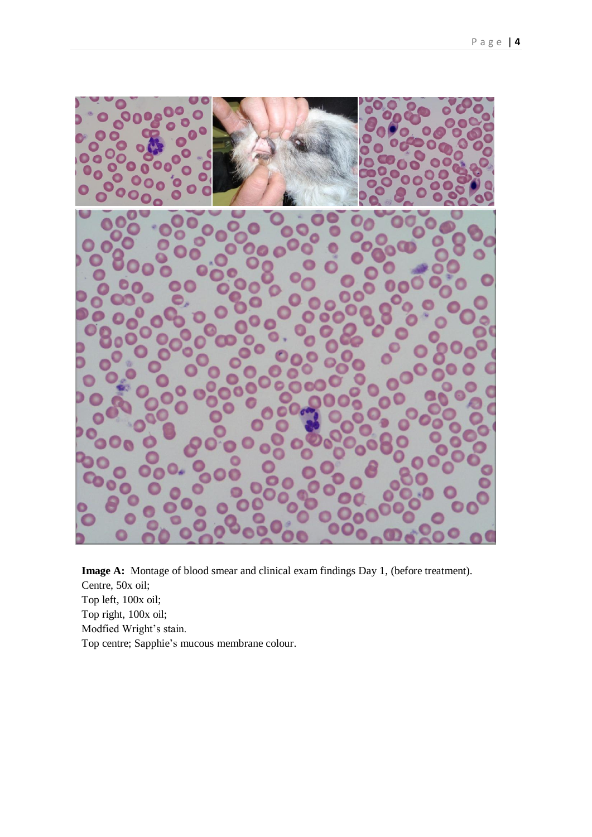

**Image A:** Montage of blood smear and clinical exam findings Day 1, (before treatment). Centre, 50x oil; Top left, 100x oil; Top right, 100x oil; Modfied Wright's stain. Top centre; Sapphie's mucous membrane colour.